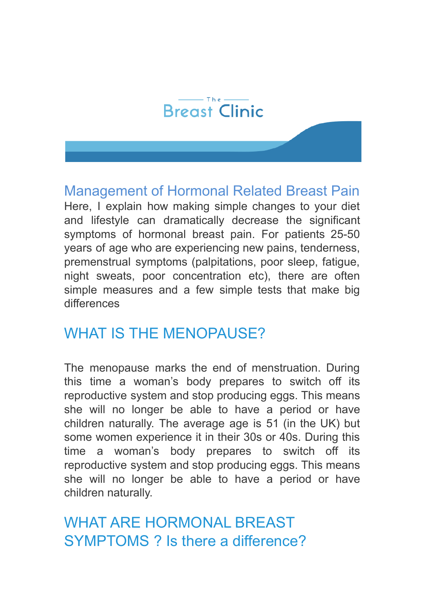#### $-$ The $-$ **Breast Clinic**

Management of Hormonal Related Breast Pain Here, I explain how making simple changes to your diet and lifestyle can dramatically decrease the significant symptoms of hormonal breast pain. For patients 25-50 years of age who are experiencing new pains, tenderness, premenstrual symptoms (palpitations, poor sleep, fatigue, night sweats, poor concentration etc), there are often simple measures and a few simple tests that make big differences

# WHAT IS THE MENOPAUSE?

The menopause marks the end of menstruation. During this time a woman's body prepares to switch off its reproductive system and stop producing eggs. This means she will no longer be able to have a period or have children naturally. The average age is 51 (in the UK) but some women experience it in their 30s or 40s. During this time a woman's body prepares to switch off its reproductive system and stop producing eggs. This means she will no longer be able to have a period or have children naturally.

WHAT ARE HORMONAL BREAST SYMPTOMS ? Is there a difference?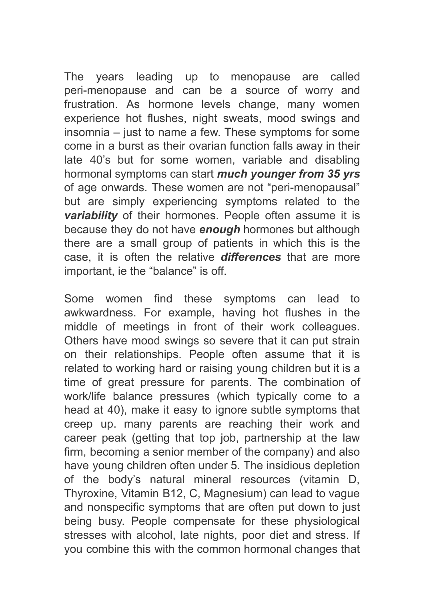The years leading up to menopause are called peri-menopause and can be a source of worry and frustration. As hormone levels change, many women experience hot flushes, night sweats, mood swings and insomnia – just to name a few. These symptoms for some come in a burst as their ovarian function falls away in their late 40's but for some women, variable and disabling hormonal symptoms can start *much younger from 35 yrs* of age onwards. These women are not "peri-menopausal" but are simply experiencing symptoms related to the *variability* of their hormones. People often assume it is because they do not have *enough* hormones but although there are a small group of patients in which this is the case, it is often the relative *differences* that are more important, ie the "balance" is off.

Some women find these symptoms can lead to awkwardness. For example, having hot flushes in the middle of meetings in front of their work colleagues. Others have mood swings so severe that it can put strain on their relationships. People often assume that it is related to working hard or raising young children but it is a time of great pressure for parents. The combination of work/life balance pressures (which typically come to a head at 40), make it easy to ignore subtle symptoms that creep up. many parents are reaching their work and career peak (getting that top job, partnership at the law firm, becoming a senior member of the company) and also have young children often under 5. The insidious depletion of the body's natural mineral resources (vitamin D, Thyroxine, Vitamin B12, C, Magnesium) can lead to vague and nonspecific symptoms that are often put down to just being busy. People compensate for these physiological stresses with alcohol, late nights, poor diet and stress. If you combine this with the common hormonal changes that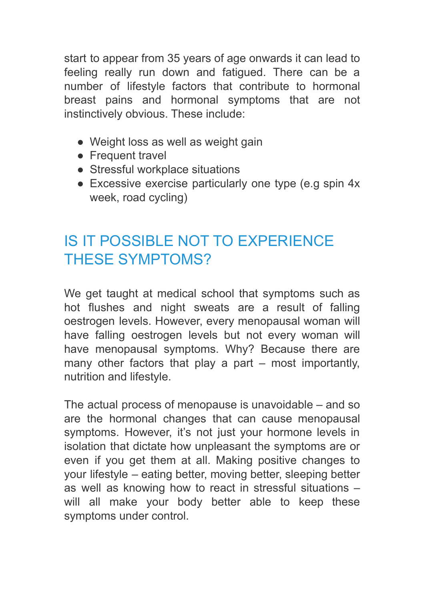start to appear from 35 years of age onwards it can lead to feeling really run down and fatigued. There can be a number of lifestyle factors that contribute to hormonal breast pains and hormonal symptoms that are not instinctively obvious. These include:

- Weight loss as well as weight gain
- Frequent travel
- Stressful workplace situations
- Excessive exercise particularly one type (e.g spin 4x week, road cycling)

# IS IT POSSIBLE NOT TO EXPERIENCE THESE SYMPTOMS?

We get taught at medical school that symptoms such as hot flushes and night sweats are a result of falling oestrogen levels. However, every menopausal woman will have falling oestrogen levels but not every woman will have menopausal symptoms. Why? Because there are many other factors that play a part – most importantly, nutrition and lifestyle.

The actual process of menopause is unavoidable – and so are the hormonal changes that can cause menopausal symptoms. However, it's not just your hormone levels in isolation that dictate how unpleasant the symptoms are or even if you get them at all. Making positive changes to your lifestyle – eating better, moving better, sleeping better as well as knowing how to react in stressful situations – will all make your body better able to keep these symptoms under control.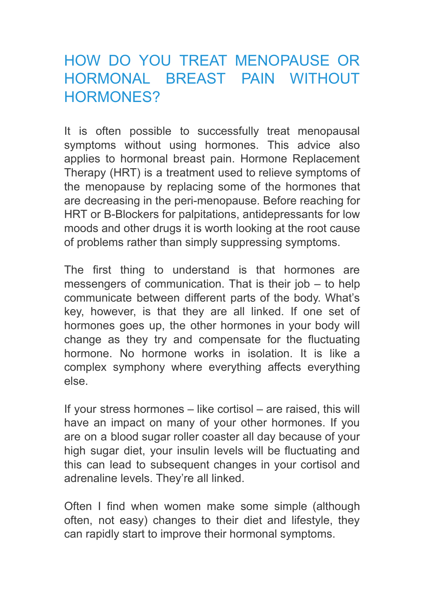# HOW DO YOU TREAT MENOPAUSE OR HORMONAL BREAST PAIN WITHOUT HORMONES?

It is often possible to successfully treat menopausal symptoms without using hormones. This advice also applies to hormonal breast pain. Hormone Replacement Therapy (HRT) is a treatment used to relieve symptoms of the menopause by replacing some of the hormones that are decreasing in the peri-menopause. Before reaching for HRT or B-Blockers for palpitations, antidepressants for low moods and other drugs it is worth looking at the root cause of problems rather than simply suppressing symptoms.

The first thing to understand is that hormones are messengers of communication. That is their job – to help communicate between different parts of the body. What's key, however, is that they are all linked. If one set of hormones goes up, the other hormones in your body will change as they try and compensate for the fluctuating hormone. No hormone works in isolation. It is like a complex symphony where everything affects everything else.

If your stress hormones – like cortisol – are raised, this will have an impact on many of your other hormones. If you are on a blood sugar roller coaster all day because of your high sugar diet, your insulin levels will be fluctuating and this can lead to subsequent changes in your cortisol and adrenaline levels. They're all linked.

Often I find when women make some simple (although often, not easy) changes to their diet and lifestyle, they can rapidly start to improve their hormonal symptoms.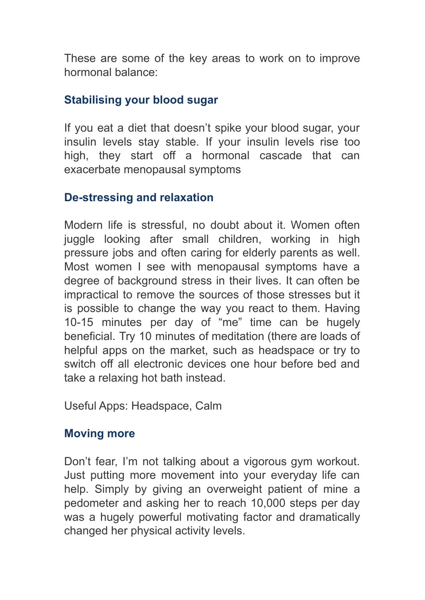These are some of the key areas to work on to improve hormonal balance:

#### **Stabilising your blood sugar**

If you eat a diet that doesn't spike your blood sugar, your insulin levels stay stable. If your insulin levels rise too high, they start off a hormonal cascade that can exacerbate menopausal symptoms

#### **De-stressing and relaxation**

Modern life is stressful, no doubt about it. Women often juggle looking after small children, working in high pressure jobs and often caring for elderly parents as well. Most women I see with menopausal symptoms have a degree of background stress in their lives. It can often be impractical to remove the sources of those stresses but it is possible to change the way you react to them. Having 10-15 minutes per day of "me" time can be hugely beneficial. Try 10 minutes of meditation (there are loads of helpful apps on the market, such as headspace or try to switch off all electronic devices one hour before bed and take a relaxing hot bath instead.

Useful Apps: Headspace, Calm

#### **Moving more**

Don't fear, I'm not talking about a vigorous gym workout. Just putting more movement into your everyday life can help. Simply by giving an overweight patient of mine a pedometer and asking her to reach 10,000 steps per day was a hugely powerful motivating factor and dramatically changed her physical activity levels.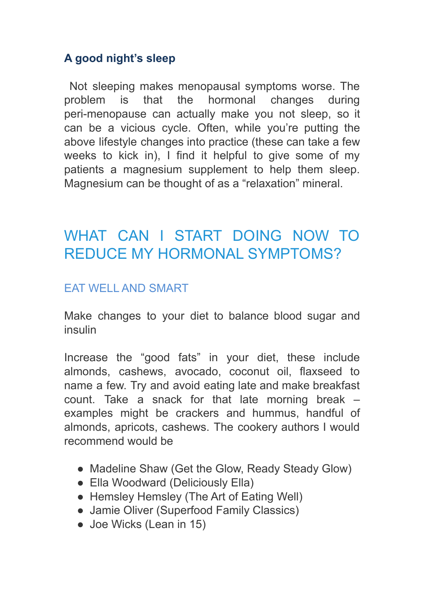## **A good night's sleep**

Not sleeping makes menopausal symptoms worse. The problem is that the hormonal changes during peri-menopause can actually make you not sleep, so it can be a vicious cycle. Often, while you're putting the above lifestyle changes into practice (these can take a few weeks to kick in), I find it helpful to give some of my patients a magnesium supplement to help them sleep. Magnesium can be thought of as a "relaxation" mineral.

# WHAT CAN I START DOING NOW TO REDUCE MY HORMONAL SYMPTOMS?

### EAT WELL AND SMART

Make changes to your diet to balance blood sugar and insulin

Increase the "good fats" in your diet, these include almonds, cashews, avocado, coconut oil, flaxseed to name a few. Try and avoid eating late and make breakfast count. Take a snack for that late morning break – examples might be crackers and hummus, handful of almonds, apricots, cashews. The cookery authors I would recommend would be

- Madeline Shaw (Get the Glow, Ready Steady Glow)
- Ella Woodward (Deliciously Ella)
- Hemsley Hemsley (The Art of Eating Well)
- Jamie Oliver (Superfood Family Classics)
- Joe Wicks (Lean in 15)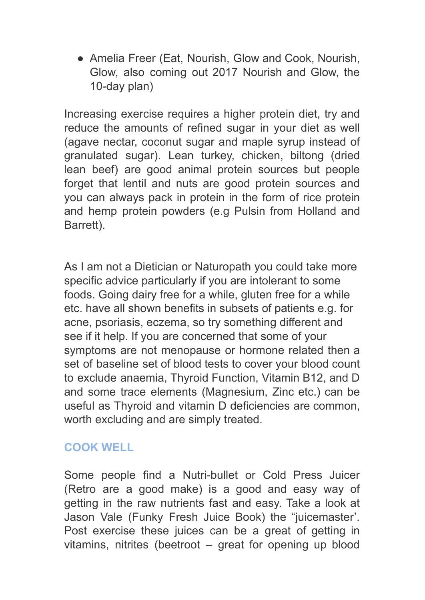• Amelia Freer (Eat, Nourish, Glow and Cook, Nourish, Glow, also coming out 2017 Nourish and Glow, the 10-day plan)

Increasing exercise requires a higher protein diet, try and reduce the amounts of refined sugar in your diet as well (agave nectar, coconut sugar and maple syrup instead of granulated sugar). Lean turkey, chicken, biltong (dried lean beef) are good animal protein sources but people forget that lentil and nuts are good protein sources and you can always pack in protein in the form of rice protein and hemp protein powders (e.g Pulsin from Holland and Barrett).

As I am not a Dietician or Naturopath you could take more specific advice particularly if you are intolerant to some foods. Going dairy free for a while, gluten free for a while etc. have all shown benefits in subsets of patients e.g. for acne, psoriasis, eczema, so try something different and see if it help. If you are concerned that some of your symptoms are not menopause or hormone related then a set of baseline set of blood tests to cover your blood count to exclude anaemia, Thyroid Function, Vitamin B12, and D and some trace elements (Magnesium, Zinc etc.) can be useful as Thyroid and vitamin D deficiencies are common, worth excluding and are simply treated.

## **COOK WELL**

Some people find a Nutri-bullet or Cold Press Juicer (Retro are a good make) is a good and easy way of getting in the raw nutrients fast and easy. Take a look at Jason Vale (Funky Fresh Juice Book) the "juicemaster'. Post exercise these juices can be a great of getting in vitamins, nitrites (beetroot – great for opening up blood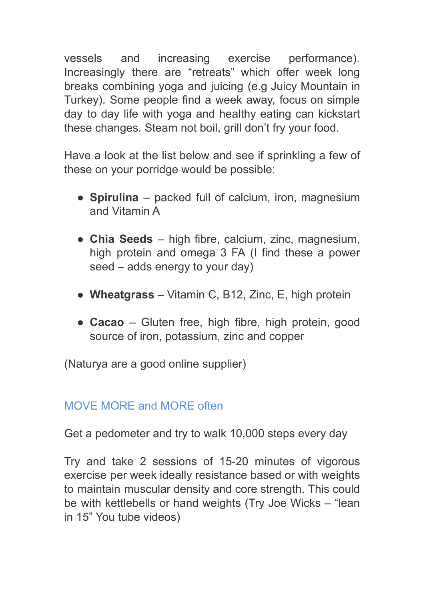vessels and increasing exercise performance). Increasingly there are "retreats" which offer week long breaks combining yoga and juicing (e.g Juicy Mountain in Turkey). Some people find a week away, focus on simple day to day life with yoga and healthy eating can kickstart these changes. Steam not boil, grill don't fry your food.

Have a look at the list below and see if sprinkling a few of these on your porridge would be possible:

- **Spirulina** packed full of calcium, iron, magnesium and Vitamin A
- **Chia Seeds** high fibre, calcium, zinc, magnesium, high protein and omega 3 FA (I find these a power seed – adds energy to your day)
- **Wheatgrass** Vitamin C, B12, Zinc, E, high protein
- **Cacao** Gluten free, high fibre, high protein, good source of iron, potassium, zinc and copper

(Naturya are a good online supplier)

## MOVE MORE and MORE often

Get a pedometer and try to walk 10,000 steps every day

Try and take 2 sessions of 15-20 minutes of vigorous exercise per week ideally resistance based or with weights to maintain muscular density and core strength. This could be with kettlebells or hand weights (Try Joe Wicks – "lean in 15" You tube videos)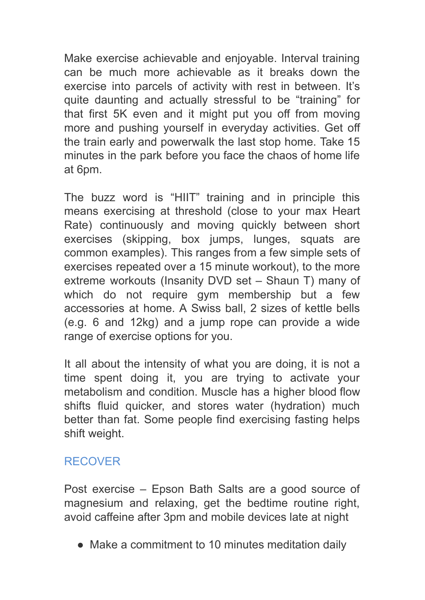Make exercise achievable and enjoyable. Interval training can be much more achievable as it breaks down the exercise into parcels of activity with rest in between. It's quite daunting and actually stressful to be "training" for that first 5K even and it might put you off from moving more and pushing yourself in everyday activities. Get off the train early and powerwalk the last stop home. Take 15 minutes in the park before you face the chaos of home life at 6pm.

The buzz word is "HIIT" training and in principle this means exercising at threshold (close to your max Heart Rate) continuously and moving quickly between short exercises (skipping, box jumps, lunges, squats are common examples). This ranges from a few simple sets of exercises repeated over a 15 minute workout), to the more extreme workouts (Insanity DVD set – Shaun T) many of which do not require gym membership but a few accessories at home. A Swiss ball, 2 sizes of kettle bells (e.g. 6 and 12kg) and a jump rope can provide a wide range of exercise options for you.

It all about the intensity of what you are doing, it is not a time spent doing it, you are trying to activate your metabolism and condition. Muscle has a higher blood flow shifts fluid quicker, and stores water (hydration) much better than fat. Some people find exercising fasting helps shift weight.

## RECOVER

Post exercise – Epson Bath Salts are a good source of magnesium and relaxing, get the bedtime routine right, avoid caffeine after 3pm and mobile devices late at night

• Make a commitment to 10 minutes meditation daily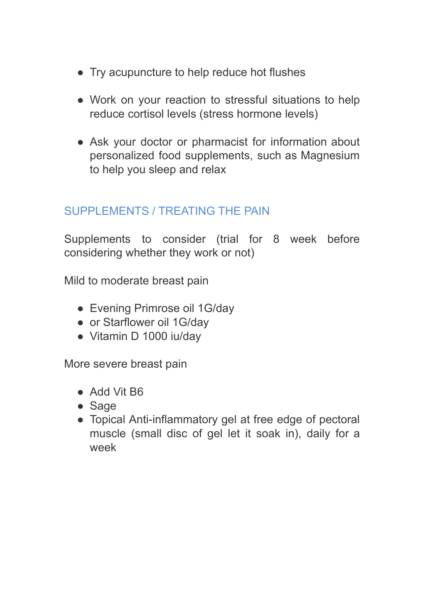- Try acupuncture to help reduce hot flushes
- Work on your reaction to stressful situations to help reduce cortisol levels (stress hormone levels)
- Ask your doctor or pharmacist for information about personalized food supplements, such as Magnesium to help you sleep and relax

### SUPPLEMENTS / TREATING THE PAIN

Supplements to consider (trial for 8 week before considering whether they work or not)

Mild to moderate breast pain

- Evening Primrose oil 1G/day
- or Starflower oil 1G/day
- Vitamin D 1000 iu/day

More severe breast pain

- Add Vit B6
- Sage
- Topical Anti-inflammatory gel at free edge of pectoral muscle (small disc of gel let it soak in), daily for a week